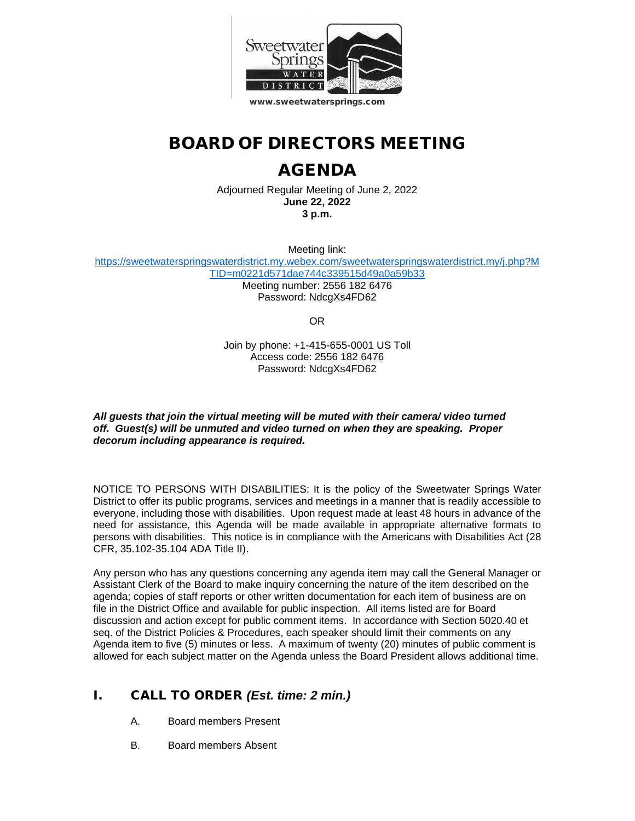

## BOARD OF DIRECTORS MEETING

# AGENDA

Adjourned Regular Meeting of June 2, 2022 **June 22, 2022 3 p.m.**

Meeting link:

[https://sweetwaterspringswaterdistrict.my.webex.com/sweetwaterspringswaterdistrict.my/j.php?M](https://sweetwaterspringswaterdistrict.my.webex.com/sweetwaterspringswaterdistrict.my/j.php?MTID=m0221d571dae744c339515d49a0a59b33) [TID=m0221d571dae744c339515d49a0a59b33](https://sweetwaterspringswaterdistrict.my.webex.com/sweetwaterspringswaterdistrict.my/j.php?MTID=m0221d571dae744c339515d49a0a59b33) Meeting number: 2556 182 6476

Password: NdcgXs4FD62

OR

Join by phone: +1-415-655-0001 US Toll Access code: 2556 182 6476 Password: NdcgXs4FD62

*All guests that join the virtual meeting will be muted with their camera/ video turned off. Guest(s) will be unmuted and video turned on when they are speaking. Proper decorum including appearance is required.*

NOTICE TO PERSONS WITH DISABILITIES: It is the policy of the Sweetwater Springs Water District to offer its public programs, services and meetings in a manner that is readily accessible to everyone, including those with disabilities. Upon request made at least 48 hours in advance of the need for assistance, this Agenda will be made available in appropriate alternative formats to persons with disabilities. This notice is in compliance with the Americans with Disabilities Act (28 CFR, 35.102-35.104 ADA Title II).

Any person who has any questions concerning any agenda item may call the General Manager or Assistant Clerk of the Board to make inquiry concerning the nature of the item described on the agenda; copies of staff reports or other written documentation for each item of business are on file in the District Office and available for public inspection. All items listed are for Board discussion and action except for public comment items. In accordance with Section 5020.40 et seq. of the District Policies & Procedures, each speaker should limit their comments on any Agenda item to five (5) minutes or less. A maximum of twenty (20) minutes of public comment is allowed for each subject matter on the Agenda unless the Board President allows additional time.

### I. CALL TO ORDER *(Est. time: 2 min.)*

- A. Board members Present
- B. Board members Absent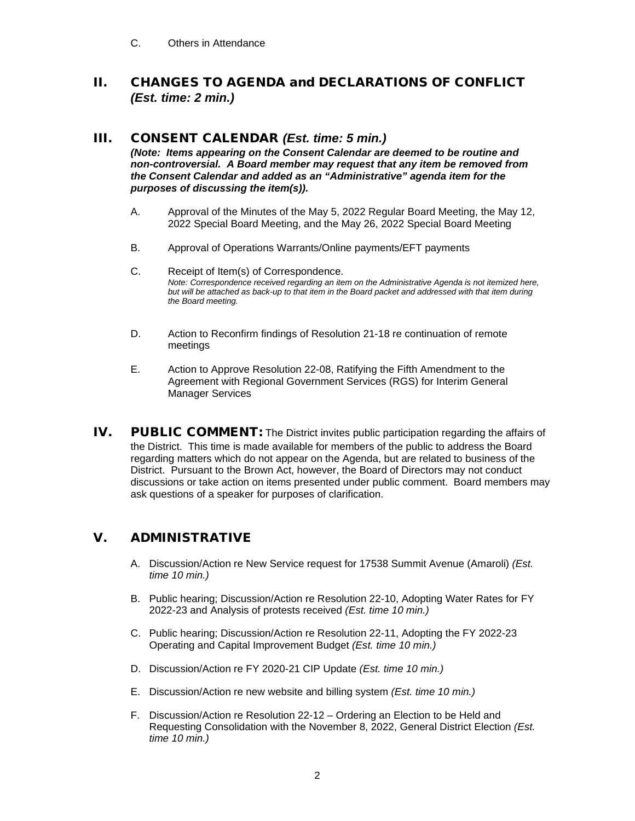C. Others in Attendance

#### II. CHANGES TO AGENDA and DECLARATIONS OF CONFLICT *(Est. time: 2 min.)*

#### III. CONSENT CALENDAR *(Est. time: 5 min.)*

*(Note: Items appearing on the Consent Calendar are deemed to be routine and non-controversial. A Board member may request that any item be removed from the Consent Calendar and added as an "Administrative" agenda item for the purposes of discussing the item(s)).*

- A. Approval of the Minutes of the May 5, 2022 Regular Board Meeting, the May 12, 2022 Special Board Meeting, and the May 26, 2022 Special Board Meeting
- B. Approval of Operations Warrants/Online payments/EFT payments
- C. Receipt of Item(s) of Correspondence. *Note: Correspondence received regarding an item on the Administrative Agenda is not itemized here, but will be attached as back-up to that item in the Board packet and addressed with that item during the Board meeting.*
- D. Action to Reconfirm findings of Resolution 21-18 re continuation of remote meetings
- E. Action to Approve Resolution 22-08, Ratifying the Fifth Amendment to the Agreement with Regional Government Services (RGS) for Interim General Manager Services
- IV. PUBLIC COMMENT: The District invites public participation regarding the affairs of the District. This time is made available for members of the public to address the Board regarding matters which do not appear on the Agenda, but are related to business of the District. Pursuant to the Brown Act, however, the Board of Directors may not conduct discussions or take action on items presented under public comment. Board members may ask questions of a speaker for purposes of clarification.

#### V. ADMINISTRATIVE

- A. Discussion/Action re New Service request for 17538 Summit Avenue (Amaroli) *(Est. time 10 min.)*
- B. Public hearing; Discussion/Action re Resolution 22-10, Adopting Water Rates for FY 2022-23 and Analysis of protests received *(Est. time 10 min.)*
- C. Public hearing; Discussion/Action re Resolution 22-11, Adopting the FY 2022-23 Operating and Capital Improvement Budget *(Est. time 10 min.)*
- D. Discussion/Action re FY 2020-21 CIP Update *(Est. time 10 min.)*
- E. Discussion/Action re new website and billing system *(Est. time 10 min.)*
- F. Discussion/Action re Resolution 22-12 Ordering an Election to be Held and Requesting Consolidation with the November 8, 2022, General District Election *(Est. time 10 min.)*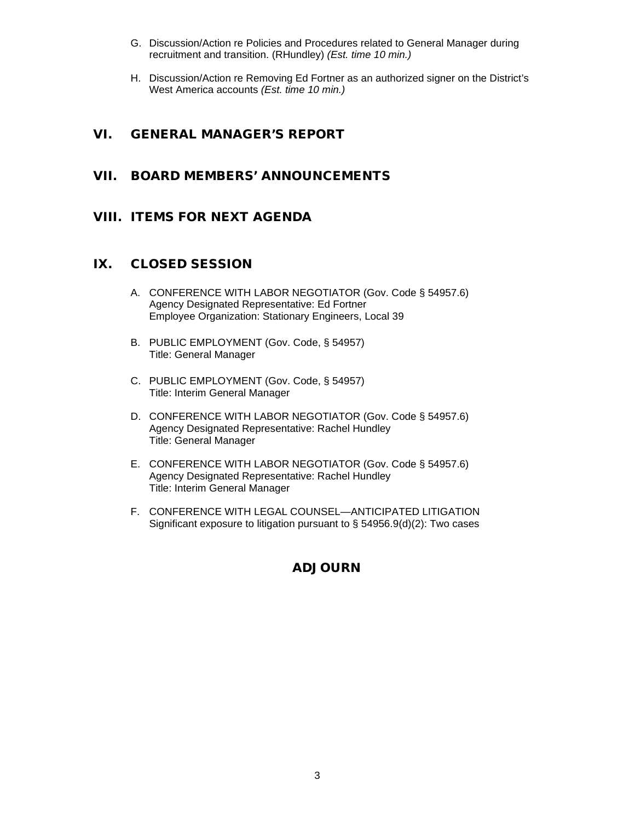- G. Discussion/Action re Policies and Procedures related to General Manager during recruitment and transition. (RHundley) *(Est. time 10 min.)*
- H. Discussion/Action re Removing Ed Fortner as an authorized signer on the District's West America accounts *(Est. time 10 min.)*

#### VI. GENERAL MANAGER'S REPORT

#### VII. BOARD MEMBERS' ANNOUNCEMENTS

#### VIII. ITEMS FOR NEXT AGENDA

#### IX. CLOSED SESSION

- A. CONFERENCE WITH LABOR NEGOTIATOR (Gov. Code § 54957.6) Agency Designated Representative: Ed Fortner Employee Organization: Stationary Engineers, Local 39
- B. PUBLIC EMPLOYMENT (Gov. Code, § 54957) Title: General Manager
- C. PUBLIC EMPLOYMENT (Gov. Code, § 54957) Title: Interim General Manager
- D. CONFERENCE WITH LABOR NEGOTIATOR (Gov. Code § 54957.6) Agency Designated Representative: Rachel Hundley Title: General Manager
- E. CONFERENCE WITH LABOR NEGOTIATOR (Gov. Code § 54957.6) Agency Designated Representative: Rachel Hundley Title: Interim General Manager
- F. CONFERENCE WITH LEGAL COUNSEL—ANTICIPATED LITIGATION Significant exposure to litigation pursuant to § 54956.9(d)(2): Two cases

#### ADJOURN